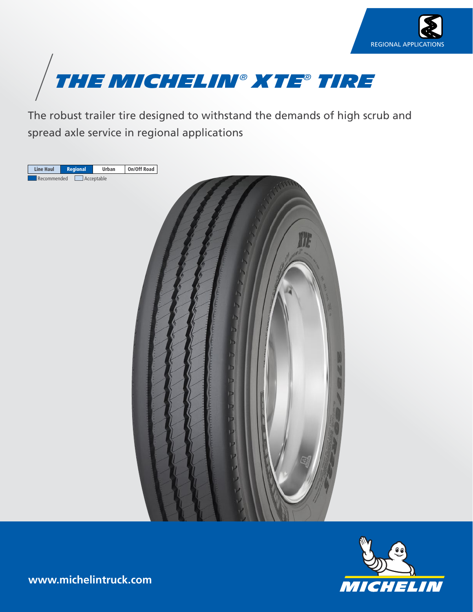



The robust trailer tire designed to withstand the demands of high scrub and spread axle service in regional applications





**www.michelintruck.com**